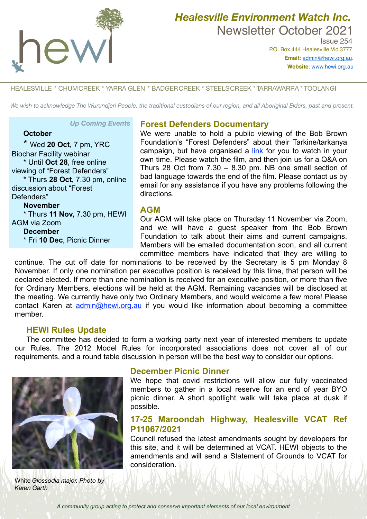

# *Healesville Environment Watch Inc.*  Newsletter October 2021

 Issue 254 P.O. Box 444 Healesville Vic 3777 **Email:** [admin@hewi.org.au](mailto:admin@hewi.org.au)**. Website**: [www.hewi.org.au](http://www.hewi.org.au)

#### HEALESVILLE \* CHUMCREEK \* YARRA GLEN \* BADGERCREEK \* STEELSCREEK \* TARRAWARRA \* TOOLANGI

*We wish to acknowledge The Wurundjeri People, the traditional custodians of our region, and all Aboriginal Elders, past and present.*

**Forest Defenders Documentary**

#### *Up Coming Events*

### **October**

\* Wed **20 Oct**, 7 pm, YRC Biochar Facility webinar \* Until **Oct 28**, free online viewing of "Forest Defenders" \* Thurs **28 Oct**, 7.30 pm, online discussion about "Forest Defenders" **November** \* Thurs **11 Nov,** 7.30 pm, HEWI AGM via Zoom **December**

\* Fri **10 Dec**, Picnic Dinner

**AGM**

directions.

Our AGM will take place on Thursday 11 November via Zoom, and we will have a guest speaker from the Bob Brown Foundation to talk about their aims and current campaigns. Members will be emailed documentation soon, and all current

We were unable to hold a public viewing of the Bob Brown Foundation's "Forest Defenders" about their Tarkine/tarkanya campaign, but have organised a [link](https://www.yarraranges.vic.gov.au/Experience/Events/Forest-Defenders) for you to watch in your own time. Please watch the film, and then join us for a Q&A on Thurs 28 Oct from 7.30 – 8.30 pm. NB one small section of bad language towards the end of the film. Please contact us by email for any assistance if you have any problems following the

committee members have indicated that they are willing to continue. The cut off date for nominations to be received by the Secretary is 5 pm Monday 8 November. If only one nomination per executive position is received by this time, that person will be declared elected. If more than one nomination is received for an executive position, or more than five for Ordinary Members, elections will be held at the AGM. Remaining vacancies will be disclosed at the meeting. We currently have only two Ordinary Members, and would welcome a few more! Please contact Karen at [admin@hewi.org.au](mailto:admin@hewi.org.au) if you would like information about becoming a committee member.

#### **HEWI Rules Update**

The committee has decided to form a working party next year of interested members to update our Rules. The 2012 Model Rules for incorporated associations does not cover all of our requirements, and a round table discussion in person will be the best way to consider our options.



White *Glossodia major. Photo by Karen Garth*

#### **December Picnic Dinner**

We hope that covid restrictions will allow our fully vaccinated members to gather in a local reserve for an end of year BYO picnic dinner. A short spotlight walk will take place at dusk if possible.

# **17-25 Maroondah Highway, Healesville VCAT Ref P11067/2021**

Council refused the latest amendments sought by developers for this site, and it will be determined at VCAT. HEWI objects to the amendments and will send a Statement of Grounds to VCAT for consideration.